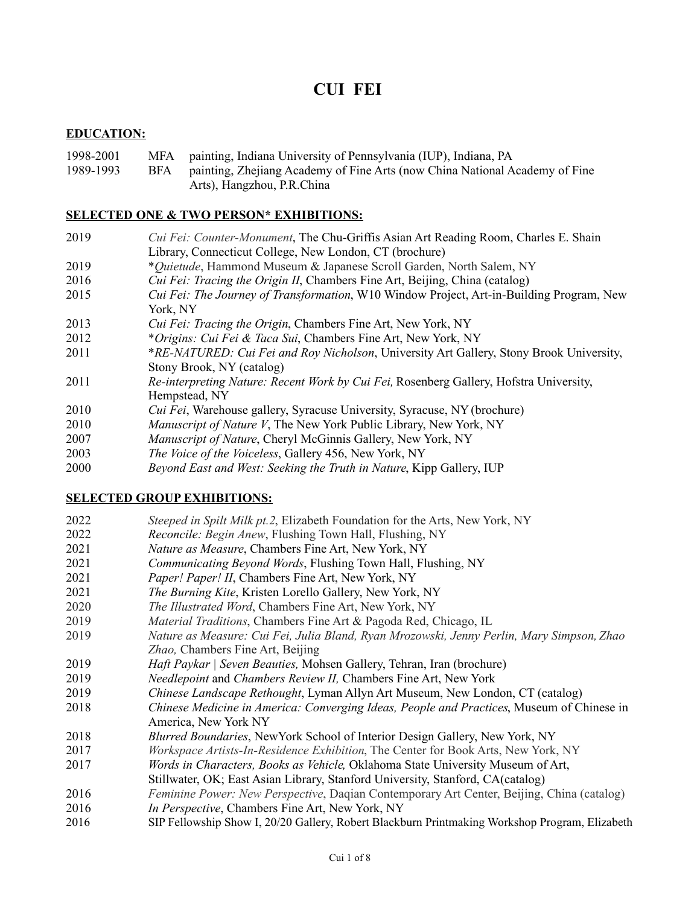# **CUI FEI**

#### **EDUCATION:**

#### 1998-2001 MFA painting, Indiana University of Pennsylvania (IUP), Indiana, PA 1989-1993 BFA painting, Zhejiang Academy of Fine Arts (now China National Academy of Fine Arts), Hangzhou, P.R.China

#### **SELECTED ONE & TWO PERSON\* EXHIBITIONS:**

- *Cui Fei: Counter-Monument*, The Chu-Griffis Asian Art Reading Room, Charles E. Shain Library, Connecticut College, New London, CT (brochure)
- \**Quietude*, Hammond Museum & Japanese Scroll Garden, North Salem, NY
- *Cui Fei: Tracing the Origin II*, Chambers Fine Art, Beijing, China (catalog)
- *Cui Fei: The Journey of Transformation*, W10 Window Project, Art-in-Building Program, New York, NY
- *Cui Fei: Tracing the Origin*, Chambers Fine Art, New York, NY
- \**Origins: Cui Fei & Taca Sui*, Chambers Fine Art, New York, NY
- \**RE-NATURED: Cui Fei and Roy Nicholson*, University Art Gallery, Stony Brook University, Stony Brook, NY (catalog)
- *Re-interpreting Nature: Recent Work by Cui Fei,* Rosenberg Gallery, Hofstra University, Hempstead, NY
- *Cui Fei*, Warehouse gallery, Syracuse University, Syracuse, NY (brochure)
- *Manuscript of Nature V*, The New York Public Library, New York, NY
- *Manuscript of Nature*, Cheryl McGinnis Gallery, New York, NY
- *The Voice of the Voiceless*, Gallery 456, New York, NY
- *Beyond East and West: Seeking the Truth in Nature*, Kipp Gallery, IUP

#### **SELECTED GROUP EXHIBITIONS:**

- *Steeped in Spilt Milk pt.2*, Elizabeth Foundation for the Arts, New York, NY
- *Reconcile: Begin Anew*, Flushing Town Hall, Flushing, NY
- *Nature as Measure*, Chambers Fine Art, New York, NY
- *Communicating Beyond Words*, Flushing Town Hall, Flushing, NY
- *Paper! Paper! II*, Chambers Fine Art, New York, NY
- *The Burning Kite*, Kristen Lorello Gallery, New York, NY
- *The Illustrated Word*, Chambers Fine Art, New York, NY
- *Material Traditions*, Chambers Fine Art & Pagoda Red, Chicago, IL
- *Nature as Measure: Cui Fei, Julia Bland, Ryan Mrozowski, Jenny Perlin, Mary Simpson, Zhao Zhao,* Chambers Fine Art, Beijing
- *Haft Paykar | Seven Beauties,* Mohsen Gallery, Tehran, Iran (brochure)
- *Needlepoint* and *Chambers Review II,* Chambers Fine Art, New York
- *Chinese Landscape Rethought*, Lyman Allyn Art Museum, New London, CT (catalog)
- *Chinese Medicine in America: Converging Ideas, People and Practices*, Museum of Chinese in America, New York NY
- *Blurred Boundaries*, NewYork School of Interior Design Gallery, New York, NY
- *Workspace Artists-In-Residence Exhibition*, The Center for Book Arts, New York, NY
- *Words in Characters, Books as Vehicle,* Oklahoma State University Museum of Art,
- Stillwater, OK; East Asian Library, Stanford University, Stanford, CA(catalog)
- *Feminine Power: New Perspective*, Daqian Contemporary Art Center, Beijing, China (catalog)
- *In Perspective*, Chambers Fine Art, New York, NY
- SIP Fellowship Show I, 20/20 Gallery, Robert Blackburn Printmaking Workshop Program, Elizabeth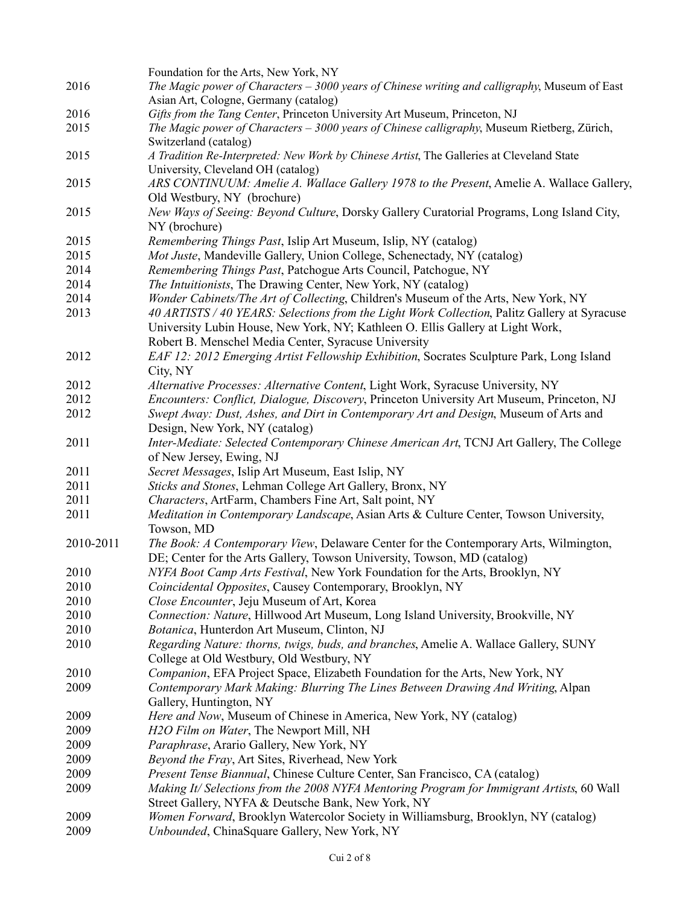|           | Foundation for the Arts, New York, NY                                                          |  |  |  |  |
|-----------|------------------------------------------------------------------------------------------------|--|--|--|--|
| 2016      | The Magic power of Characters $-3000$ years of Chinese writing and calligraphy, Museum of East |  |  |  |  |
|           | Asian Art, Cologne, Germany (catalog)                                                          |  |  |  |  |
| 2016      | Gifts from the Tang Center, Princeton University Art Museum, Princeton, NJ                     |  |  |  |  |
| 2015      | The Magic power of Characters – 3000 years of Chinese calligraphy, Museum Rietberg, Zürich,    |  |  |  |  |
|           | Switzerland (catalog)                                                                          |  |  |  |  |
| 2015      | A Tradition Re-Interpreted: New Work by Chinese Artist, The Galleries at Cleveland State       |  |  |  |  |
|           | University, Cleveland OH (catalog)                                                             |  |  |  |  |
| 2015      | ARS CONTINUUM: Amelie A. Wallace Gallery 1978 to the Present, Amelie A. Wallace Gallery,       |  |  |  |  |
|           | Old Westbury, NY (brochure)                                                                    |  |  |  |  |
|           | New Ways of Seeing: Beyond Culture, Dorsky Gallery Curatorial Programs, Long Island City,      |  |  |  |  |
| 2015      |                                                                                                |  |  |  |  |
|           | NY (brochure)                                                                                  |  |  |  |  |
| 2015      | Remembering Things Past, Islip Art Museum, Islip, NY (catalog)                                 |  |  |  |  |
| 2015      | Mot Juste, Mandeville Gallery, Union College, Schenectady, NY (catalog)                        |  |  |  |  |
| 2014      | Remembering Things Past, Patchogue Arts Council, Patchogue, NY                                 |  |  |  |  |
| 2014      | The Intuitionists, The Drawing Center, New York, NY (catalog)                                  |  |  |  |  |
| 2014      | Wonder Cabinets/The Art of Collecting, Children's Museum of the Arts, New York, NY             |  |  |  |  |
| 2013      | 40 ARTISTS / 40 YEARS: Selections from the Light Work Collection, Palitz Gallery at Syracuse   |  |  |  |  |
|           | University Lubin House, New York, NY; Kathleen O. Ellis Gallery at Light Work,                 |  |  |  |  |
|           | Robert B. Menschel Media Center, Syracuse University                                           |  |  |  |  |
| 2012      | EAF 12: 2012 Emerging Artist Fellowship Exhibition, Socrates Sculpture Park, Long Island       |  |  |  |  |
|           | City, NY                                                                                       |  |  |  |  |
| 2012      | Alternative Processes: Alternative Content, Light Work, Syracuse University, NY                |  |  |  |  |
|           |                                                                                                |  |  |  |  |
| 2012      | Encounters: Conflict, Dialogue, Discovery, Princeton University Art Museum, Princeton, NJ      |  |  |  |  |
| 2012      | Swept Away: Dust, Ashes, and Dirt in Contemporary Art and Design, Museum of Arts and           |  |  |  |  |
|           | Design, New York, NY (catalog)                                                                 |  |  |  |  |
| 2011      | Inter-Mediate: Selected Contemporary Chinese American Art, TCNJ Art Gallery, The College       |  |  |  |  |
|           | of New Jersey, Ewing, NJ                                                                       |  |  |  |  |
| 2011      | Secret Messages, Islip Art Museum, East Islip, NY                                              |  |  |  |  |
| 2011      | Sticks and Stones, Lehman College Art Gallery, Bronx, NY                                       |  |  |  |  |
| 2011      | Characters, ArtFarm, Chambers Fine Art, Salt point, NY                                         |  |  |  |  |
| 2011      | Meditation in Contemporary Landscape, Asian Arts & Culture Center, Towson University,          |  |  |  |  |
|           | Towson, MD                                                                                     |  |  |  |  |
| 2010-2011 | The Book: A Contemporary View, Delaware Center for the Contemporary Arts, Wilmington,          |  |  |  |  |
|           | DE; Center for the Arts Gallery, Towson University, Towson, MD (catalog)                       |  |  |  |  |
| 2010      | NYFA Boot Camp Arts Festival, New York Foundation for the Arts, Brooklyn, NY                   |  |  |  |  |
|           |                                                                                                |  |  |  |  |
| 2010      | Coincidental Opposites, Causey Contemporary, Brooklyn, NY                                      |  |  |  |  |
| 2010      | Close Encounter, Jeju Museum of Art, Korea                                                     |  |  |  |  |
| 2010      | Connection: Nature, Hillwood Art Museum, Long Island University, Brookville, NY                |  |  |  |  |
| 2010      | Botanica, Hunterdon Art Museum, Clinton, NJ                                                    |  |  |  |  |
| 2010      | Regarding Nature: thorns, twigs, buds, and branches, Amelie A. Wallace Gallery, SUNY           |  |  |  |  |
|           | College at Old Westbury, Old Westbury, NY                                                      |  |  |  |  |
| 2010      | Companion, EFA Project Space, Elizabeth Foundation for the Arts, New York, NY                  |  |  |  |  |
| 2009      | Contemporary Mark Making: Blurring The Lines Between Drawing And Writing, Alpan                |  |  |  |  |
|           | Gallery, Huntington, NY                                                                        |  |  |  |  |
| 2009      | Here and Now, Museum of Chinese in America, New York, NY (catalog)                             |  |  |  |  |
| 2009      | H2O Film on Water, The Newport Mill, NH                                                        |  |  |  |  |
| 2009      | Paraphrase, Arario Gallery, New York, NY                                                       |  |  |  |  |
| 2009      | Beyond the Fray, Art Sites, Riverhead, New York                                                |  |  |  |  |
| 2009      | Present Tense Biannual, Chinese Culture Center, San Francisco, CA (catalog)                    |  |  |  |  |
|           |                                                                                                |  |  |  |  |
| 2009      | Making It/Selections from the 2008 NYFA Mentoring Program for Immigrant Artists, 60 Wall       |  |  |  |  |
|           | Street Gallery, NYFA & Deutsche Bank, New York, NY                                             |  |  |  |  |
| 2009      | Women Forward, Brooklyn Watercolor Society in Williamsburg, Brooklyn, NY (catalog)             |  |  |  |  |
| 2009      | Unbounded, ChinaSquare Gallery, New York, NY                                                   |  |  |  |  |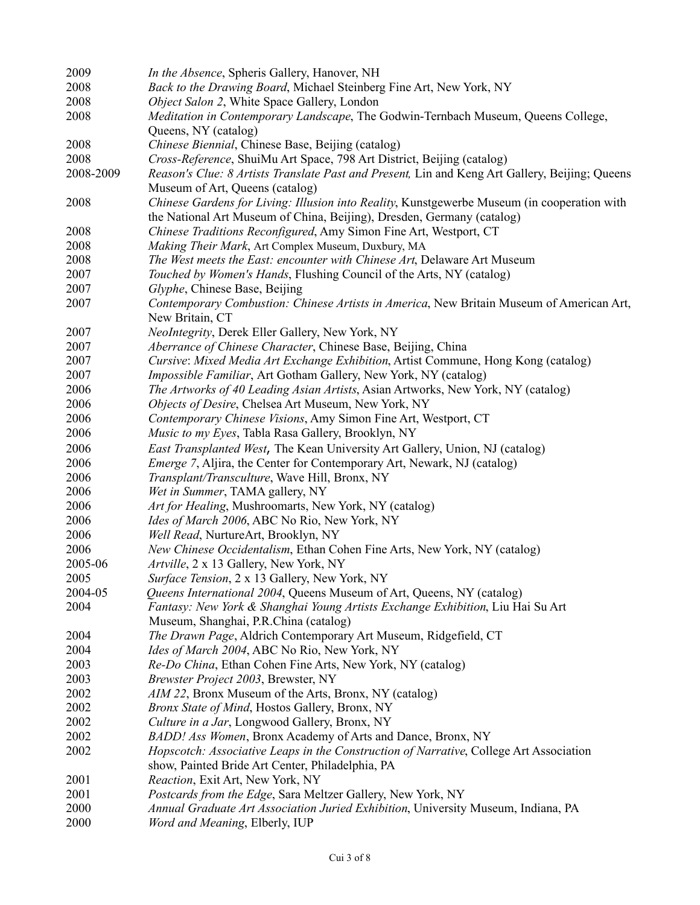| 2009      | In the Absence, Spheris Gallery, Hanover, NH                                                                                                                          |  |  |  |  |
|-----------|-----------------------------------------------------------------------------------------------------------------------------------------------------------------------|--|--|--|--|
| 2008      | Back to the Drawing Board, Michael Steinberg Fine Art, New York, NY                                                                                                   |  |  |  |  |
| 2008      | Object Salon 2, White Space Gallery, London                                                                                                                           |  |  |  |  |
| 2008      | Meditation in Contemporary Landscape, The Godwin-Ternbach Museum, Queens College,                                                                                     |  |  |  |  |
|           | Queens, NY (catalog)                                                                                                                                                  |  |  |  |  |
| 2008      | Chinese Biennial, Chinese Base, Beijing (catalog)                                                                                                                     |  |  |  |  |
| 2008      | Cross-Reference, ShuiMu Art Space, 798 Art District, Beijing (catalog)                                                                                                |  |  |  |  |
| 2008-2009 | Reason's Clue: 8 Artists Translate Past and Present, Lin and Keng Art Gallery, Beijing; Queens                                                                        |  |  |  |  |
|           | Museum of Art, Queens (catalog)                                                                                                                                       |  |  |  |  |
| 2008      | Chinese Gardens for Living: Illusion into Reality, Kunstgewerbe Museum (in cooperation with<br>the National Art Museum of China, Beijing), Dresden, Germany (catalog) |  |  |  |  |
| 2008      | Chinese Traditions Reconfigured, Amy Simon Fine Art, Westport, CT                                                                                                     |  |  |  |  |
| 2008      | Making Their Mark, Art Complex Museum, Duxbury, MA                                                                                                                    |  |  |  |  |
| 2008      | The West meets the East: encounter with Chinese Art, Delaware Art Museum                                                                                              |  |  |  |  |
| 2007      | Touched by Women's Hands, Flushing Council of the Arts, NY (catalog)                                                                                                  |  |  |  |  |
| 2007      | Glyphe, Chinese Base, Beijing                                                                                                                                         |  |  |  |  |
| 2007      | Contemporary Combustion: Chinese Artists in America, New Britain Museum of American Art,                                                                              |  |  |  |  |
|           | New Britain, CT                                                                                                                                                       |  |  |  |  |
| 2007      | NeoIntegrity, Derek Eller Gallery, New York, NY                                                                                                                       |  |  |  |  |
| 2007      | Aberrance of Chinese Character, Chinese Base, Beijing, China                                                                                                          |  |  |  |  |
| 2007      | Cursive: Mixed Media Art Exchange Exhibition, Artist Commune, Hong Kong (catalog)                                                                                     |  |  |  |  |
| 2007      | Impossible Familiar, Art Gotham Gallery, New York, NY (catalog)                                                                                                       |  |  |  |  |
| 2006      | The Artworks of 40 Leading Asian Artists, Asian Artworks, New York, NY (catalog)                                                                                      |  |  |  |  |
| 2006      | Objects of Desire, Chelsea Art Museum, New York, NY                                                                                                                   |  |  |  |  |
| 2006      | Contemporary Chinese Visions, Amy Simon Fine Art, Westport, CT                                                                                                        |  |  |  |  |
| 2006      | Music to my Eyes, Tabla Rasa Gallery, Brooklyn, NY                                                                                                                    |  |  |  |  |
| 2006      | East Transplanted West, The Kean University Art Gallery, Union, NJ (catalog)                                                                                          |  |  |  |  |
| 2006      | <i>Emerge</i> 7, Aljira, the Center for Contemporary Art, Newark, NJ (catalog)                                                                                        |  |  |  |  |
| 2006      | Transplant/Transculture, Wave Hill, Bronx, NY                                                                                                                         |  |  |  |  |
| 2006      | Wet in Summer, TAMA gallery, NY                                                                                                                                       |  |  |  |  |
| 2006      | Art for Healing, Mushroomarts, New York, NY (catalog)                                                                                                                 |  |  |  |  |
| 2006      | Ides of March 2006, ABC No Rio, New York, NY                                                                                                                          |  |  |  |  |
| 2006      | Well Read, NurtureArt, Brooklyn, NY                                                                                                                                   |  |  |  |  |
| 2006      |                                                                                                                                                                       |  |  |  |  |
|           | New Chinese Occidentalism, Ethan Cohen Fine Arts, New York, NY (catalog)                                                                                              |  |  |  |  |
| 2005-06   | Artville, 2 x 13 Gallery, New York, NY                                                                                                                                |  |  |  |  |
| 2005      | Surface Tension, 2 x 13 Gallery, New York, NY                                                                                                                         |  |  |  |  |
| 2004-05   | Queens International 2004, Queens Museum of Art, Queens, NY (catalog)                                                                                                 |  |  |  |  |
| 2004      | Fantasy: New York & Shanghai Young Artists Exchange Exhibition, Liu Hai Su Art                                                                                        |  |  |  |  |
|           | Museum, Shanghai, P.R.China (catalog)                                                                                                                                 |  |  |  |  |
| 2004      | The Drawn Page, Aldrich Contemporary Art Museum, Ridgefield, CT                                                                                                       |  |  |  |  |
| 2004      | Ides of March 2004, ABC No Rio, New York, NY                                                                                                                          |  |  |  |  |
| 2003      | Re-Do China, Ethan Cohen Fine Arts, New York, NY (catalog)                                                                                                            |  |  |  |  |
| 2003      | Brewster Project 2003, Brewster, NY                                                                                                                                   |  |  |  |  |
| 2002      | AIM 22, Bronx Museum of the Arts, Bronx, NY (catalog)                                                                                                                 |  |  |  |  |
| 2002      | Bronx State of Mind, Hostos Gallery, Bronx, NY                                                                                                                        |  |  |  |  |
| 2002      | Culture in a Jar, Longwood Gallery, Bronx, NY                                                                                                                         |  |  |  |  |
| 2002      | BADD! Ass Women, Bronx Academy of Arts and Dance, Bronx, NY                                                                                                           |  |  |  |  |
| 2002      | Hopscotch: Associative Leaps in the Construction of Narrative, College Art Association                                                                                |  |  |  |  |
|           | show, Painted Bride Art Center, Philadelphia, PA                                                                                                                      |  |  |  |  |
| 2001      | Reaction, Exit Art, New York, NY                                                                                                                                      |  |  |  |  |
| 2001      | Postcards from the Edge, Sara Meltzer Gallery, New York, NY                                                                                                           |  |  |  |  |
| 2000      | Annual Graduate Art Association Juried Exhibition, University Museum, Indiana, PA                                                                                     |  |  |  |  |
| 2000      | Word and Meaning, Elberly, IUP                                                                                                                                        |  |  |  |  |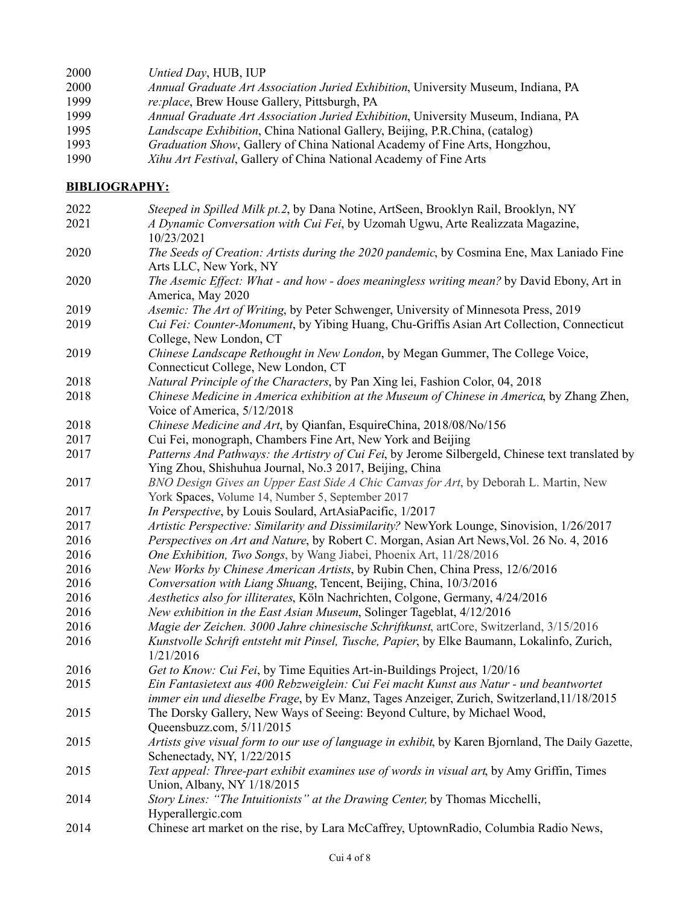- *Untied Day*, HUB, IUP
- *Annual Graduate Art Association Juried Exhibition*, University Museum, Indiana, PA
- *re:place*, Brew House Gallery, Pittsburgh, PA
- *Annual Graduate Art Association Juried Exhibition*, University Museum, Indiana, PA
- *Landscape Exhibition*, China National Gallery, Beijing, P.R.China, (catalog)
- *Graduation Show*, Gallery of China National Academy of Fine Arts, Hongzhou,
- *Xihu Art Festival*, Gallery of China National Academy of Fine Arts

## **BIBLIOGRAPHY:**

 *Steeped in Spilled Milk pt.2*, by Dana Notine, ArtSeen, Brooklyn Rail, Brooklyn, NY *A Dynamic Conversation with Cui Fei*, by Uzomah Ugwu, Arte Realizzata Magazine, 10/23/2021 *The Seeds of Creation: Artists during the 2020 pandemic*, by Cosmina Ene, Max Laniado Fine Arts LLC, New York, NY *The Asemic Effect: What - and how - does meaningless writing mean?* by David Ebony, Art in America, May 2020 *Asemic: The Art of Writing*, by Peter Schwenger, University of Minnesota Press, 2019 *Cui Fei: Counter-Monument*, by Yibing Huang, Chu-Griffis Asian Art Collection, Connecticut College, New London, CT *Chinese Landscape Rethought in New London*, by Megan Gummer, The College Voice, Connecticut College, New London, CT *Natural Principle of the Characters*, by Pan Xing lei, Fashion Color, 04, 2018 *Chinese Medicine in America exhibition at the Museum of Chinese in America*, by Zhang Zhen, Voice of America, 5/12/2018 *Chinese Medicine and Art*, by Qianfan, EsquireChina, 2018/08/No/156 Cui Fei, monograph, Chambers Fine Art, New York and Beijing *Patterns And Pathways: the Artistry of Cui Fei*, by Jerome Silbergeld, Chinese text translated by Ying Zhou, Shishuhua Journal, No.3 2017, Beijing, China *BNO Design Gives an Upper East Side A Chic Canvas for Art*, by Deborah L. Martin, New York Spaces, Volume 14, Number 5, September 2017 *In Perspective*, by Louis Soulard, ArtAsiaPacific, 1/2017 *[Artistic Perspective: Similarity and Dissimilarity?](http://video.sinovision.net/?cid=126)* NewYork Lounge, Sinovision, 1/26/2017 *Perspectives on Art and Nature*, by Robert C. Morgan, Asian Art News,Vol. 26 No. 4, 2016 *[One Exhibition, Two Songs](http://mp.weixin.qq.com/s/4PbbLQVz3vzAE0ex1A91CQ)*, by Wang Jiabei, Phoenix Art, 11/28/2016 *[New Works by Chinese American Artists](http://epaper.thechinapress.netdna-cdn.com/images/phocagallery/Daily/2016/12.2016/12162016/thumbs/phoca_thumb_l_e7.jpg)*, by Rubin Chen, China Press, 12/6/2016 *[Conversation with Liang Shuang](https://v.qq.com/x/page/r0333saq2cy.html)*, Tencent, Beijing, China, 10/3/2016 *[Aesthetics also for illiterates](http://koeln-nachrichten.de/kultur/ausstellungen/aesthetik-auch-fuer-analphabeten/)*, Köln Nachrichten, Colgone, Germany, 4/24/2016 *New exhibition in the East Asian Museum*, Solinger Tageblat, 4/12/2016 *[Magie der Zeichen. 3000 Jahre chinesische Schriftkunst](http://kultur-online.net/node/29729)*, artCore, Switzerland, 3/15/2016 *Kunstvolle Schrift entsteht mit Pinsel, Tusche, Papier*, by Elke Baumann, Lokalinfo, Zurich, 1/21/2016 *[Get to Know: Cui Fei](http://teiartinbuildings.com/blog/details/gettoknow-cuifei/71)*, by Time Equities Art-in-Buildings Project, 1/20/16 *Ein Fantasietext aus 400 Rebzweiglein: Cui Fei macht Kunst aus Natur - und beantwortet immer ein und dieselbe Frage*, by Ev Manz, Tages Anzeiger, Zurich, Switzerland,11/18/2015 The Dorsky Gallery, New Ways of Seeing: Beyond Culture, by Michael Wood, Queensbuzz.com, 5/11/2015 *Artists give visual form to our use of language in exhibit*, by Karen Bjornland, The Daily Gazette, Schenectady, NY, 1/22/2015 *Text appeal: Three-part exhibit examines use of words in visual art*, by Amy Griffin, Times Union, Albany, NY 1/18/2015 *Story Lines: "The Intuitionists" at the Drawing Center,* by Thomas Micchelli, Hyperallergic.com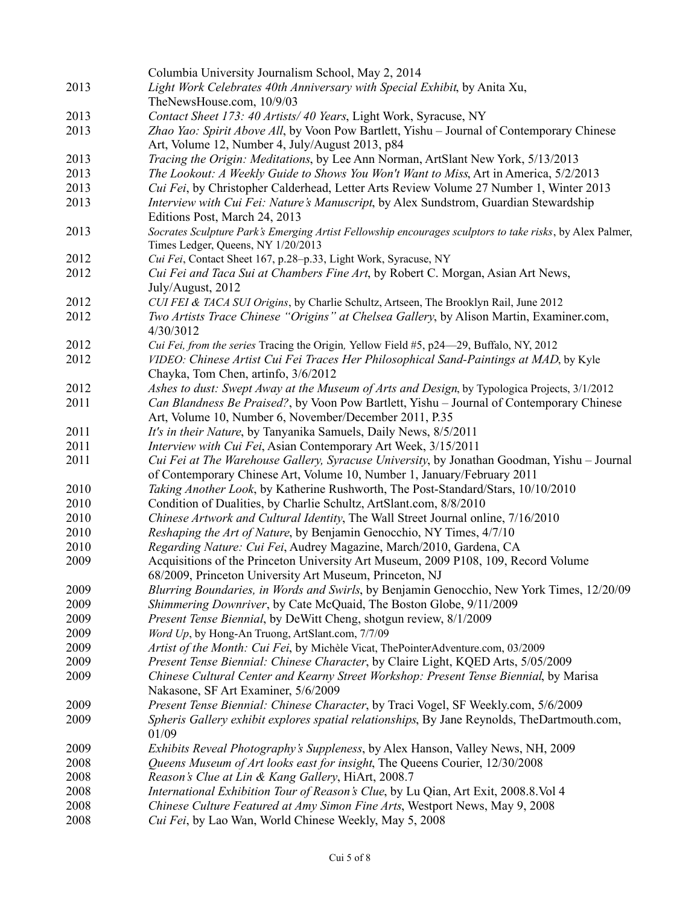|      | Columbia University Journalism School, May 2, 2014                                                                                             |
|------|------------------------------------------------------------------------------------------------------------------------------------------------|
| 2013 | Light Work Celebrates 40th Anniversary with Special Exhibit, by Anita Xu,                                                                      |
|      | TheNewsHouse.com, 10/9/03                                                                                                                      |
| 2013 | Contact Sheet 173: 40 Artists/ 40 Years, Light Work, Syracuse, NY                                                                              |
| 2013 | Zhao Yao: Spirit Above All, by Voon Pow Bartlett, Yishu - Journal of Contemporary Chinese                                                      |
|      | Art, Volume 12, Number 4, July/August 2013, p84                                                                                                |
| 2013 | Tracing the Origin: Meditations, by Lee Ann Norman, ArtSlant New York, 5/13/2013                                                               |
| 2013 | The Lookout: A Weekly Guide to Shows You Won't Want to Miss, Art in America, 5/2/2013                                                          |
| 2013 | Cui Fei, by Christopher Calderhead, Letter Arts Review Volume 27 Number 1, Winter 2013                                                         |
| 2013 | Interview with Cui Fei: Nature's Manuscript, by Alex Sundstrom, Guardian Stewardship                                                           |
|      | Editions Post, March 24, 2013                                                                                                                  |
| 2013 | Socrates Sculpture Park's Emerging Artist Fellowship encourages sculptors to take risks, by Alex Palmer,<br>Times Ledger, Queens, NY 1/20/2013 |
| 2012 | Cui Fei, Contact Sheet 167, p.28-p.33, Light Work, Syracuse, NY                                                                                |
| 2012 | Cui Fei and Taca Sui at Chambers Fine Art, by Robert C. Morgan, Asian Art News,                                                                |
|      | July/August, 2012                                                                                                                              |
| 2012 | CUI FEI & TACA SUI Origins, by Charlie Schultz, Artseen, The Brooklyn Rail, June 2012                                                          |
| 2012 | Two Artists Trace Chinese "Origins" at Chelsea Gallery, by Alison Martin, Examiner.com,                                                        |
|      | 4/30/3012                                                                                                                                      |
| 2012 | Cui Fei, from the series Tracing the Origin, Yellow Field #5, p24-29, Buffalo, NY, 2012                                                        |
| 2012 | VIDEO: Chinese Artist Cui Fei Traces Her Philosophical Sand-Paintings at MAD, by Kyle                                                          |
|      | Chayka, Tom Chen, artinfo, 3/6/2012                                                                                                            |
| 2012 | Ashes to dust: Swept Away at the Museum of Arts and Design, by Typologica Projects, 3/1/2012                                                   |
| 2011 | Can Blandness Be Praised?, by Voon Pow Bartlett, Yishu - Journal of Contemporary Chinese                                                       |
|      | Art, Volume 10, Number 6, November/December 2011, P.35                                                                                         |
| 2011 | It's in their Nature, by Tanyanika Samuels, Daily News, 8/5/2011                                                                               |
| 2011 | Interview with Cui Fei, Asian Contemporary Art Week, 3/15/2011                                                                                 |
| 2011 | Cui Fei at The Warehouse Gallery, Syracuse University, by Jonathan Goodman, Yishu – Journal                                                    |
|      | of Contemporary Chinese Art, Volume 10, Number 1, January/February 2011                                                                        |
| 2010 | Taking Another Look, by Katherine Rushworth, The Post-Standard/Stars, 10/10/2010                                                               |
| 2010 | Condition of Dualities, by Charlie Schultz, ArtSlant.com, 8/8/2010                                                                             |
| 2010 | Chinese Artwork and Cultural Identity, The Wall Street Journal online, 7/16/2010                                                               |
| 2010 | Reshaping the Art of Nature, by Benjamin Genocchio, NY Times, 4/7/10                                                                           |
| 2010 | Regarding Nature: Cui Fei, Audrey Magazine, March/2010, Gardena, CA                                                                            |
| 2009 | Acquisitions of the Princeton University Art Museum, 2009 P108, 109, Record Volume                                                             |
|      | 68/2009, Princeton University Art Museum, Princeton, NJ                                                                                        |
| 2009 | Blurring Boundaries, in Words and Swirls, by Benjamin Genocchio, New York Times, 12/20/09                                                      |
| 2009 | Shimmering Downriver, by Cate McQuaid, The Boston Globe, 9/11/2009                                                                             |
| 2009 | Present Tense Biennial, by DeWitt Cheng, shotgun review, 8/1/2009                                                                              |
| 2009 | Word Up, by Hong-An Truong, ArtSlant.com, 7/7/09                                                                                               |
| 2009 | Artist of the Month: Cui Fei, by Michèle Vicat, ThePointerAdventure.com, 03/2009                                                               |
| 2009 | Present Tense Biennial: Chinese Character, by Claire Light, KQED Arts, 5/05/2009                                                               |
| 2009 | Chinese Cultural Center and Kearny Street Workshop: Present Tense Biennial, by Marisa                                                          |
|      | Nakasone, SF Art Examiner, 5/6/2009                                                                                                            |
| 2009 | Present Tense Biennial: Chinese Character, by Traci Vogel, SF Weekly.com, 5/6/2009                                                             |
| 2009 | Spheris Gallery exhibit explores spatial relationships, By Jane Reynolds, TheDartmouth.com,<br>01/09                                           |
| 2009 | <i>Exhibits Reveal Photography's Suppleness, by Alex Hanson, Valley News, NH, 2009</i>                                                         |
| 2008 | Queens Museum of Art looks east for insight, The Queens Courier, 12/30/2008                                                                    |
| 2008 | Reason's Clue at Lin & Kang Gallery, HiArt, 2008.7                                                                                             |
| 2008 | International Exhibition Tour of Reason's Clue, by Lu Qian, Art Exit, 2008.8. Vol 4                                                            |
| 2008 | Chinese Culture Featured at Amy Simon Fine Arts, Westport News, May 9, 2008                                                                    |
| 2008 | Cui Fei, by Lao Wan, World Chinese Weekly, May 5, 2008                                                                                         |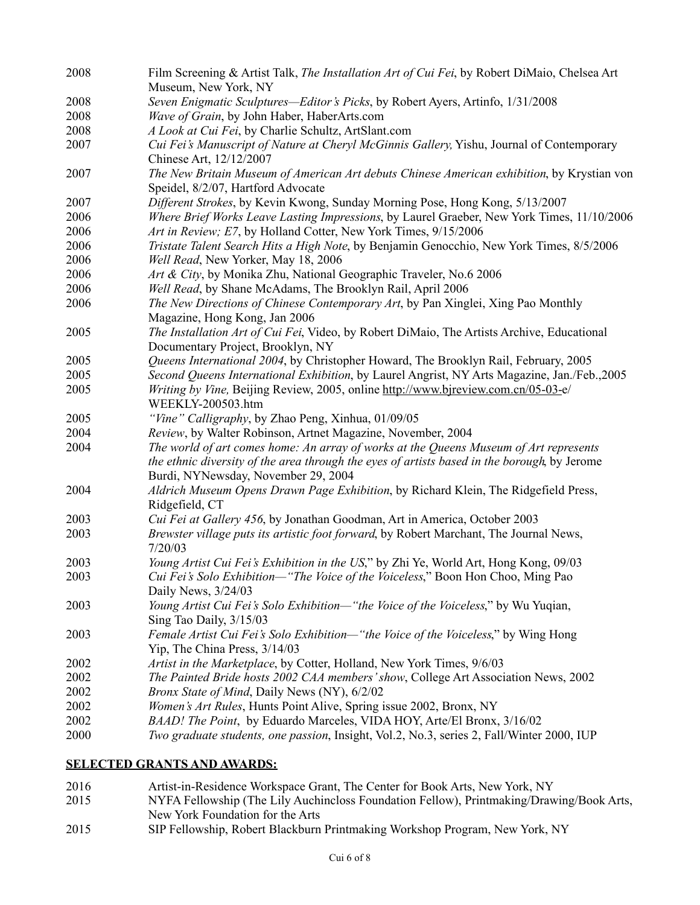| 2008                                                                                          | Film Screening & Artist Talk, The Installation Art of Cui Fei, by Robert DiMaio, Chelsea Art<br>Museum, New York, NY                |  |  |  |  |
|-----------------------------------------------------------------------------------------------|-------------------------------------------------------------------------------------------------------------------------------------|--|--|--|--|
| 2008                                                                                          | Seven Enigmatic Sculptures-Editor's Picks, by Robert Ayers, Artinfo, 1/31/2008                                                      |  |  |  |  |
| 2008                                                                                          | Wave of Grain, by John Haber, HaberArts.com                                                                                         |  |  |  |  |
| 2008                                                                                          | A Look at Cui Fei, by Charlie Schultz, ArtSlant.com                                                                                 |  |  |  |  |
| 2007                                                                                          | Cui Fei's Manuscript of Nature at Cheryl McGinnis Gallery, Yishu, Journal of Contemporary<br>Chinese Art, 12/12/2007                |  |  |  |  |
| 2007                                                                                          | The New Britain Museum of American Art debuts Chinese American exhibition, by Krystian von<br>Speidel, 8/2/07, Hartford Advocate    |  |  |  |  |
| 2007                                                                                          | Different Strokes, by Kevin Kwong, Sunday Morning Pose, Hong Kong, 5/13/2007                                                        |  |  |  |  |
| 2006                                                                                          | Where Brief Works Leave Lasting Impressions, by Laurel Graeber, New York Times, 11/10/2006                                          |  |  |  |  |
| 2006                                                                                          | Art in Review; E7, by Holland Cotter, New York Times, 9/15/2006                                                                     |  |  |  |  |
| 2006                                                                                          | Tristate Talent Search Hits a High Note, by Benjamin Genocchio, New York Times, 8/5/2006                                            |  |  |  |  |
| 2006                                                                                          | Well Read, New Yorker, May 18, 2006                                                                                                 |  |  |  |  |
| 2006                                                                                          | Art & City, by Monika Zhu, National Geographic Traveler, No.6 2006                                                                  |  |  |  |  |
| 2006                                                                                          | Well Read, by Shane McAdams, The Brooklyn Rail, April 2006                                                                          |  |  |  |  |
| 2006                                                                                          | The New Directions of Chinese Contemporary Art, by Pan Xinglei, Xing Pao Monthly<br>Magazine, Hong Kong, Jan 2006                   |  |  |  |  |
| 2005                                                                                          | The Installation Art of Cui Fei, Video, by Robert DiMaio, The Artists Archive, Educational<br>Documentary Project, Brooklyn, NY     |  |  |  |  |
| 2005                                                                                          | Queens International 2004, by Christopher Howard, The Brooklyn Rail, February, 2005                                                 |  |  |  |  |
| 2005                                                                                          | Second Queens International Exhibition, by Laurel Angrist, NY Arts Magazine, Jan./Feb.,2005                                         |  |  |  |  |
| 2005                                                                                          | Writing by Vine, Beijing Review, 2005, online http://www.bjreview.com.cn/05-03-e/<br>WEEKLY-200503.htm                              |  |  |  |  |
| 2005                                                                                          | "Vine" Calligraphy, by Zhao Peng, Xinhua, 01/09/05                                                                                  |  |  |  |  |
| 2004                                                                                          | Review, by Walter Robinson, Artnet Magazine, November, 2004                                                                         |  |  |  |  |
| 2004<br>The world of art comes home: An array of works at the Queens Museum of Art represents |                                                                                                                                     |  |  |  |  |
|                                                                                               | the ethnic diversity of the area through the eyes of artists based in the borough, by Jerome<br>Burdi, NYNewsday, November 29, 2004 |  |  |  |  |
| 2004                                                                                          | Aldrich Museum Opens Drawn Page Exhibition, by Richard Klein, The Ridgefield Press,<br>Ridgefield, CT                               |  |  |  |  |
| 2003                                                                                          | Cui Fei at Gallery 456, by Jonathan Goodman, Art in America, October 2003                                                           |  |  |  |  |
| 2003                                                                                          | Brewster village puts its artistic foot forward, by Robert Marchant, The Journal News,<br>7/20/03                                   |  |  |  |  |
| 2003                                                                                          | Young Artist Cui Fei's Exhibition in the US," by Zhi Ye, World Art, Hong Kong, 09/03                                                |  |  |  |  |
| 2003                                                                                          | Cui Fei's Solo Exhibition-"The Voice of the Voiceless," Boon Hon Choo, Ming Pao<br>Daily News, 3/24/03                              |  |  |  |  |
| 2003                                                                                          | Young Artist Cui Fei's Solo Exhibition—"the Voice of the Voiceless," by Wu Yuqian,<br>Sing Tao Daily, 3/15/03                       |  |  |  |  |
| 2003                                                                                          | Female Artist Cui Fei's Solo Exhibition—"the Voice of the Voiceless," by Wing Hong<br>Yip, The China Press, 3/14/03                 |  |  |  |  |
| 2002                                                                                          | Artist in the Marketplace, by Cotter, Holland, New York Times, 9/6/03                                                               |  |  |  |  |
| 2002                                                                                          | The Painted Bride hosts 2002 CAA members' show, College Art Association News, 2002                                                  |  |  |  |  |
| 2002                                                                                          | Bronx State of Mind, Daily News (NY), 6/2/02                                                                                        |  |  |  |  |
| 2002                                                                                          | Women's Art Rules, Hunts Point Alive, Spring issue 2002, Bronx, NY                                                                  |  |  |  |  |
| 2002                                                                                          | BAAD! The Point, by Eduardo Marceles, VIDA HOY, Arte/El Bronx, 3/16/02                                                              |  |  |  |  |
| 2000                                                                                          | Two graduate students, one passion, Insight, Vol.2, No.3, series 2, Fall/Winter 2000, IUP                                           |  |  |  |  |

## **SELECTED GRANTS AND AWARDS:**

- 2016 Artist-in-Residence Workspace Grant, The Center for Book Arts, New York, NY<br>2015 NYFA Fellowship (The Lily Auchineloss Foundation Fellow), Printmaking/Draw
- NYFA Fellowship (The Lily Auchincloss Foundation Fellow), Printmaking/Drawing/Book Arts, New York Foundation for the Arts
- SIP Fellowship, Robert Blackburn Printmaking Workshop Program, New York, NY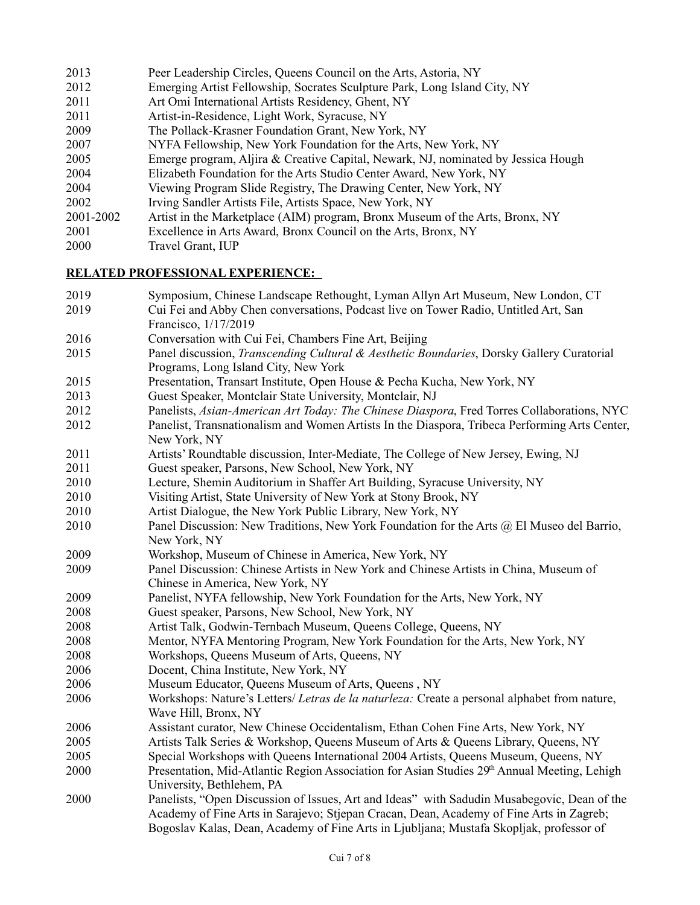- 2013 Peer Leadership Circles, Queens Council on the Arts, Astoria, NY 2012 Emerging Artist Fellowship, Socrates Sculpture Park, Long Island City, NY 2011 Art Omi International Artists Residency, Ghent, NY 2011 Artist-in-Residence, Light Work, Syracuse, NY 2009 The Pollack-Krasner Foundation Grant, New York, NY 2007 NYFA Fellowship, New York Foundation for the Arts, New York, NY 2005 Emerge program, Aljira & Creative Capital, Newark, NJ, nominated by Jessica Hough 2004 Elizabeth Foundation for the Arts Studio Center Award, New York, NY 2004 Viewing Program Slide Registry, The Drawing Center, New York, NY 2002 Irving Sandler Artists File, Artists Space, New York, NY 2001-2002 Artist in the Marketplace (AIM) program, Bronx Museum of the Arts, Bronx, NY 2001 Excellence in Arts Award, Bronx Council on the Arts, Bronx, NY
- 2000 Travel Grant, IUP

## **RELATED PROFESSIONAL EXPERIENCE:**

- 2019 Symposium, Chinese Landscape Rethought, Lyman Allyn Art Museum, New London, CT 2019 Cui Fei and Abby Chen conversations, Podcast live on Tower Radio, Untitled Art, San Francisco, 1/17/2019 2016 Conversation with Cui Fei, Chambers Fine Art, Beijing 2015 Panel discussion, *Transcending Cultural & Aesthetic Boundaries*, Dorsky Gallery Curatorial Programs, Long Island City, New York 2015 Presentation, Transart Institute, Open House & Pecha Kucha, New York, NY 2013 Guest Speaker, Montclair State University, Montclair, NJ 2012 Panelists, *Asian-American Art Today: The Chinese Diaspora*, Fred Torres Collaborations, NYC 2012 Panelist, Transnationalism and Women Artists In the Diaspora, Tribeca Performing Arts Center, New York, NY 2011 Artists' Roundtable discussion, Inter-Mediate, The College of New Jersey, Ewing, NJ 2011 Guest speaker, Parsons, New School, New York, NY 2010 Lecture, Shemin Auditorium in Shaffer Art Building, Syracuse University, NY 2010 Visiting Artist, State University of New York at Stony Brook, NY 2010 Artist Dialogue, the New York Public Library, New York, NY 2010 Panel Discussion: New Traditions, New York Foundation for the Arts @ El Museo del Barrio, New York, NY 2009 Workshop, Museum of Chinese in America, New York, NY 2009 Panel Discussion: Chinese Artists in New York and Chinese Artists in China, Museum of Chinese in America, New York, NY 2009 Panelist, NYFA fellowship, New York Foundation for the Arts, New York, NY
- 2008 Guest speaker, Parsons, New School, New York, NY
- 2008 Artist Talk, Godwin-Ternbach Museum, Queens College, Queens, NY
- 2008 Mentor, NYFA Mentoring Program, New York Foundation for the Arts, New York, NY
- 2008 Workshops, Queens Museum of Arts, Queens, NY
- 2006 Docent, China Institute, New York, NY
- 2006 Museum Educator, Queens Museum of Arts, Queens , NY
- 2006 Workshops: Nature's Letters/ *Letras de la naturleza:* Create a personal alphabet from nature, Wave Hill, Bronx, NY
- 2006 Assistant curator, New Chinese Occidentalism, Ethan Cohen Fine Arts, New York, NY
- 2005 Artists Talk Series & Workshop, Queens Museum of Arts & Queens Library, Queens, NY
- 2005 Special Workshops with Queens International 2004 Artists, Queens Museum, Queens, NY
- 2000 Presentation, Mid-Atlantic Region Association for Asian Studies 29<sup>th</sup> Annual Meeting, Lehigh University, Bethlehem, PA
- 2000 Panelists, "Open Discussion of Issues, Art and Ideas" with Sadudin Musabegovic, Dean of the Academy of Fine Arts in Sarajevo; Stjepan Cracan, Dean, Academy of Fine Arts in Zagreb; Bogoslav Kalas, Dean, Academy of Fine Arts in Ljubljana; Mustafa Skopljak, professor of